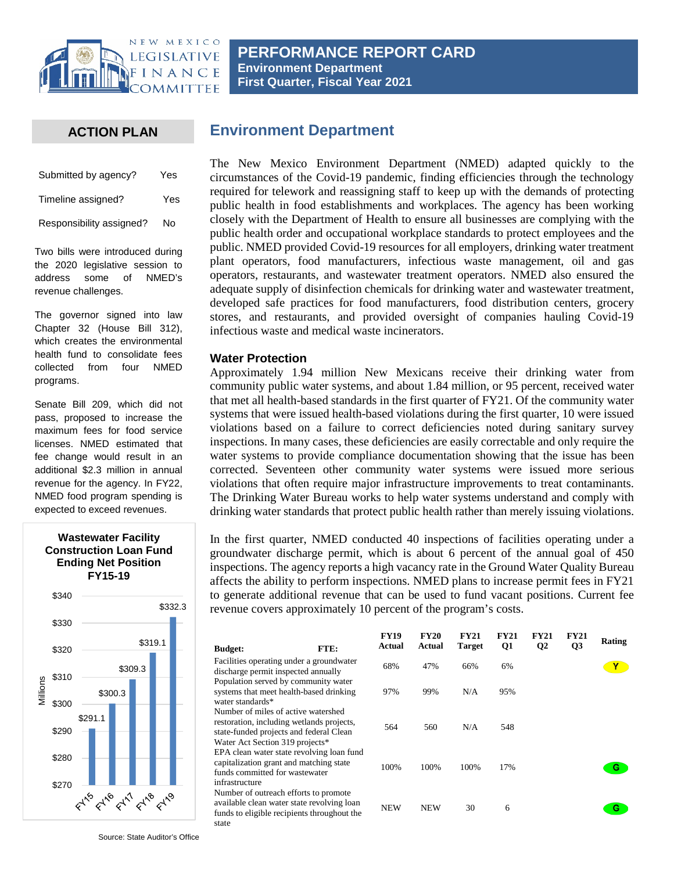

## **ACTION PLAN**

| Submitted by agency?     | Yes |
|--------------------------|-----|
| Timeline assigned?       | Yes |
| Responsibility assigned? | No  |

Two bills were introduced during the 2020 legislative session to address some of NMED's revenue challenges.

The governor signed into law Chapter 32 (House Bill 312), which creates the environmental health fund to consolidate fees collected from four NMED programs.

Senate Bill 209, which did not pass, proposed to increase the maximum fees for food service licenses. NMED estimated that fee change would result in an additional \$2.3 million in annual revenue for the agency. In FY22, NMED food program spending is expected to exceed revenues.



# **Environment Department**

The New Mexico Environment Department (NMED) adapted quickly to the circumstances of the Covid-19 pandemic, finding efficiencies through the technology required for telework and reassigning staff to keep up with the demands of protecting public health in food establishments and workplaces. The agency has been working closely with the Department of Health to ensure all businesses are complying with the public health order and occupational workplace standards to protect employees and the public. NMED provided Covid-19 resources for all employers, drinking water treatment plant operators, food manufacturers, infectious waste management, oil and gas operators, restaurants, and wastewater treatment operators. NMED also ensured the adequate supply of disinfection chemicals for drinking water and wastewater treatment, developed safe practices for food manufacturers, food distribution centers, grocery stores, and restaurants, and provided oversight of companies hauling Covid-19 infectious waste and medical waste incinerators.

#### **Water Protection**

Approximately 1.94 million New Mexicans receive their drinking water from community public water systems, and about 1.84 million, or 95 percent, received water that met all health-based standards in the first quarter of FY21. Of the community water systems that were issued health-based violations during the first quarter, 10 were issued violations based on a failure to correct deficiencies noted during sanitary survey inspections. In many cases, these deficiencies are easily correctable and only require the water systems to provide compliance documentation showing that the issue has been corrected. Seventeen other community water systems were issued more serious violations that often require major infrastructure improvements to treat contaminants. The Drinking Water Bureau works to help water systems understand and comply with drinking water standards that protect public health rather than merely issuing violations.

In the first quarter, NMED conducted 40 inspections of facilities operating under a groundwater discharge permit, which is about 6 percent of the annual goal of 450 inspections. The agency reports a high vacancy rate in the Ground Water Quality Bureau affects the ability to perform inspections. NMED plans to increase permit fees in FY21 to generate additional revenue that can be used to fund vacant positions. Current fee revenue covers approximately 10 percent of the program's costs.

| <b>Budget:</b>                                                         | FTE:                                                                                                                               | <b>FY19</b><br>Actual | <b>FY20</b><br>Actual | <b>FY21</b><br><b>Target</b> | <b>FY21</b><br>Q1 | <b>FY21</b><br>Q <sub>2</sub> | <b>FY21</b><br>Q <sub>3</sub> | Rating |
|------------------------------------------------------------------------|------------------------------------------------------------------------------------------------------------------------------------|-----------------------|-----------------------|------------------------------|-------------------|-------------------------------|-------------------------------|--------|
| discharge permit inspected annually                                    | Facilities operating under a groundwater                                                                                           | 68%                   | 47%                   | 66%                          | 6%                |                               |                               |        |
| water standards*                                                       | Population served by community water<br>systems that meet health-based drinking                                                    | 97%                   | 99%                   | N/A                          | 95%               |                               |                               |        |
| Number of miles of active watershed<br>Water Act Section 319 projects* | restoration, including wetlands projects,<br>state-funded projects and federal Clean                                               | 564                   | 560                   | N/A                          | 548               |                               |                               |        |
| funds committed for wastewater<br>infrastructure                       | EPA clean water state revolving loan fund<br>capitalization grant and matching state                                               | 100%                  | 100%                  | 100%                         | 17%               |                               |                               | G      |
| state                                                                  | Number of outreach efforts to promote<br>available clean water state revolving loan<br>funds to eligible recipients throughout the | <b>NEW</b>            | <b>NEW</b>            | 30                           | 6                 |                               |                               | G      |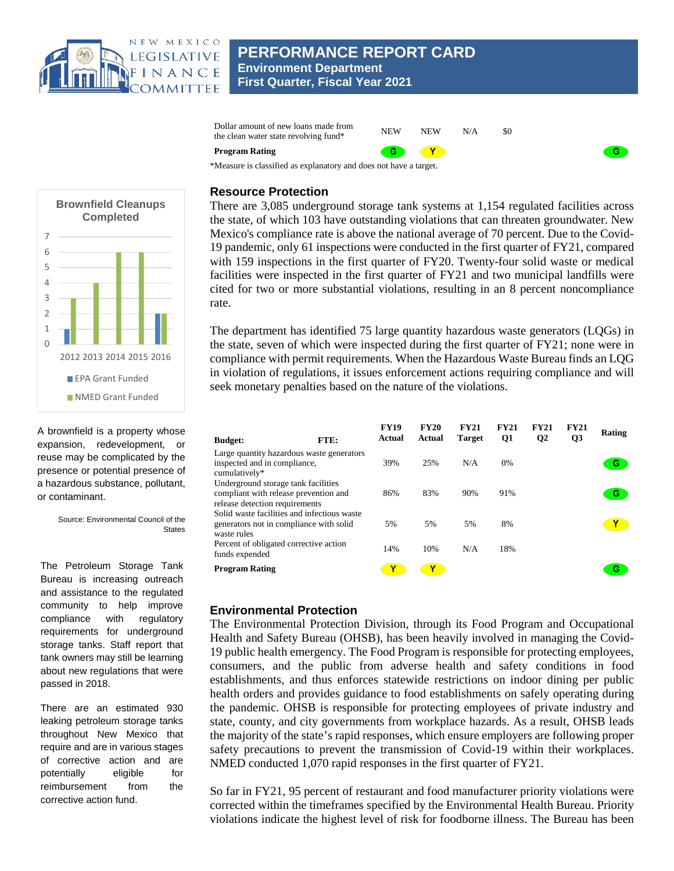

**PERFORMANCE REPORT CARD Environment Department First Quarter, Fiscal Year 2021**



#### **Resource Protection**

There are 3,085 underground storage tank systems at 1,154 regulated facilities across the state, of which 103 have outstanding violations that can threaten groundwater. New Mexico's compliance rate is above the national average of 70 percent. Due to the Covid-19 pandemic, only 61 inspections were conducted in the first quarter of FY21, compared with 159 inspections in the first quarter of FY20. Twenty-four solid waste or medical facilities were inspected in the first quarter of FY21 and two municipal landfills were cited for two or more substantial violations, resulting in an 8 percent noncompliance rate.

 $G$ 

The department has identified 75 large quantity hazardous waste generators (LQGs) in the state, seven of which were inspected during the first quarter of FY21; none were in compliance with permit requirements. When the Hazardous Waste Bureau finds an LQG in violation of regulations, it issues enforcement actions requiring compliance and will seek monetary penalties based on the nature of the violations.

| <b>Budget:</b>                                                                                                 | FTE: | <b>FY19</b><br>Actual | <b>FY20</b><br>Actual | <b>FY21</b><br><b>Target</b> | <b>FY21</b><br>Q1 | <b>FY21</b><br>Q <sub>2</sub> | <b>FY21</b><br>Q3 | Rating |
|----------------------------------------------------------------------------------------------------------------|------|-----------------------|-----------------------|------------------------------|-------------------|-------------------------------|-------------------|--------|
| Large quantity hazardous waste generators<br>inspected and in compliance,<br>cumulatively*                     |      | 39%                   | 25%                   | N/A                          | 0%                |                               |                   | G      |
| Underground storage tank facilities<br>compliant with release prevention and<br>release detection requirements |      | 86%                   | 83%                   | 90%                          | 91%               |                               |                   | G      |
| Solid waste facilities and infectious waste<br>generators not in compliance with solid<br>waste rules          |      | 5%                    | 5%                    | 5%                           | 8%                |                               |                   | Υ      |
| Percent of obligated corrective action<br>funds expended                                                       |      | 14%                   | 10%                   | N/A                          | 18%               |                               |                   |        |
| <b>Program Rating</b>                                                                                          |      |                       |                       |                              |                   |                               |                   | G      |

### **Environmental Protection**

The Environmental Protection Division, through its Food Program and Occupational Health and Safety Bureau (OHSB), has been heavily involved in managing the Covid-19 public health emergency. The Food Program is responsible for protecting employees, consumers, and the public from adverse health and safety conditions in food establishments, and thus enforces statewide restrictions on indoor dining per public health orders and provides guidance to food establishments on safely operating during the pandemic. OHSB is responsible for protecting employees of private industry and state, county, and city governments from workplace hazards. As a result, OHSB leads the majority of the state's rapid responses, which ensure employers are following proper safety precautions to prevent the transmission of Covid-19 within their workplaces. NMED conducted 1,070 rapid responses in the first quarter of FY21.

So far in FY21, 95 percent of restaurant and food manufacturer priority violations were corrected within the timeframes specified by the Environmental Health Bureau. Priority violations indicate the highest level of risk for foodborne illness. The Bureau has been



A brownfield is a property whose expansion, redevelopment, or reuse may be complicated by the presence or potential presence of a hazardous substance, pollutant, or contaminant.

> Source: Environmental Council of the States

The Petroleum Storage Tank Bureau is increasing outreach and assistance to the regulated community to help improve compliance with regulatory requirements for underground storage tanks. Staff report that tank owners may still be learning about new regulations that were passed in 2018.

There are an estimated 930 leaking petroleum storage tanks throughout New Mexico that require and are in various stages of corrective action and are potentially eligible for reimbursement from the corrective action fund.